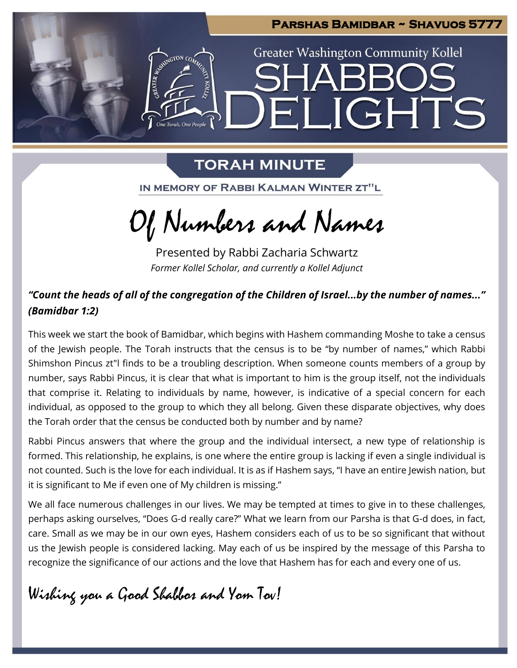

# **TORAH MINUTE**

IN MEMORY OF RABBI KALMAN WINTER ZT"L

Of Numbers and Names

Presented by Rabbi Zacharia Schwartz *Former Kollel Scholar, and currently a Kollel Adjunct*

## *"Count the heads of all of the congregation of the Children of Israel...by the number of names..." (Bamidbar 1:2)*

This week we start the book of Bamidbar, which begins with Hashem commanding Moshe to take a census of the Jewish people. The Torah instructs that the census is to be "by number of names," which Rabbi Shimshon Pincus zt"l finds to be a troubling description. When someone counts members of a group by number, says Rabbi Pincus, it is clear that what is important to him is the group itself, not the individuals that comprise it. Relating to individuals by name, however, is indicative of a special concern for each individual, as opposed to the group to which they all belong. Given these disparate objectives, why does the Torah order that the census be conducted both by number and by name?

Rabbi Pincus answers that where the group and the individual intersect, a new type of relationship is formed. This relationship, he explains, is one where the entire group is lacking if even a single individual is not counted. Such is the love for each individual. It is as if Hashem says, "I have an entire Jewish nation, but it is significant to Me if even one of My children is missing."

We all face numerous challenges in our lives. We may be tempted at times to give in to these challenges, perhaps asking ourselves, "Does G-d really care?" What we learn from our Parsha is that G-d does, in fact, care. Small as we may be in our own eyes, Hashem considers each of us to be so significant that without us the Jewish people is considered lacking. May each of us be inspired by the message of this Parsha to recognize the significance of our actions and the love that Hashem has for each and every one of us.

# Wishing you a Good Shabbos and Yom Tov!